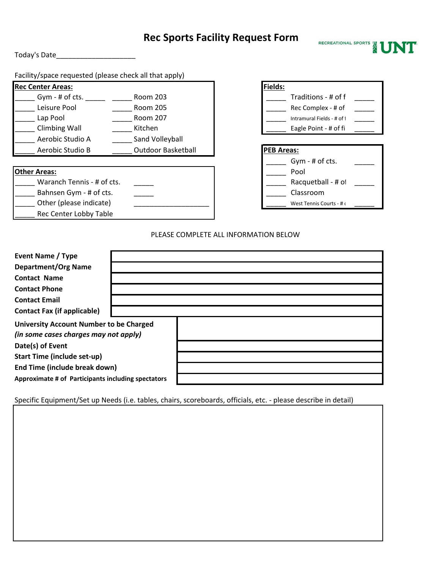# **Rec Sports Facility Request Form**

Today's Date\_\_\_\_\_\_\_\_\_\_\_\_\_\_\_\_\_\_\_\_

Facility/space requested (please check all that apply)

| <b>Rec Center Areas:</b> |                           |
|--------------------------|---------------------------|
| Gym - # of cts.          | Room 203                  |
| Leisure Pool             | Room 205                  |
| Lap Pool                 | <b>Room 207</b>           |
| <b>Climbing Wall</b>     | Kitchen                   |
| Aerobic Studio A         | Sand Volleyball           |
| Aerobic Studio B         | <b>Outdoor Basketball</b> |

### **Other Areas:**

| Waranch Tennis - # of cts. | Racquetball - # of       |
|----------------------------|--------------------------|
| Bahnsen Gym - # of cts.    | Classroom                |
| Other (please indicate)    | West Tennis Courts - # ( |
| Rec Center Lobby Table     |                          |



| Racquetball - # of |  |
|--------------------|--|
| Classroom          |  |

#### PLEASE COMPLETE ALL INFORMATION BELOW

| <b>Event Name / Type</b>                           |  |
|----------------------------------------------------|--|
| <b>Department/Org Name</b>                         |  |
| <b>Contact Name</b>                                |  |
| <b>Contact Phone</b>                               |  |
| <b>Contact Email</b>                               |  |
| <b>Contact Fax (if applicable)</b>                 |  |
| <b>University Account Number to be Charged</b>     |  |
| (in some cases charges may not apply)              |  |
| Date(s) of Event                                   |  |
| Start Time (include set-up)                        |  |
| End Time (include break down)                      |  |
| Approximate # of Participants including spectators |  |

Specific Equipment/Set up Needs (i.e. tables, chairs, scoreboards, officials, etc. - please describe in detail)